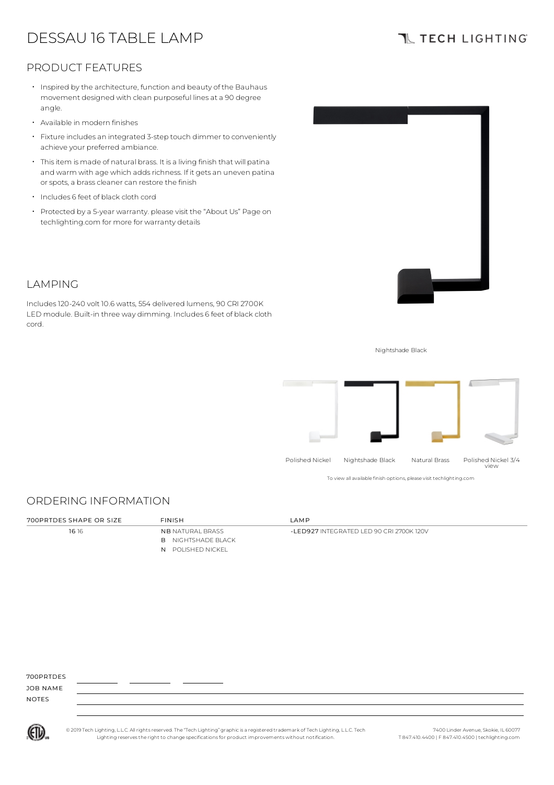# DESSAU 16 TABLE LAMP

# **TL TECH LIGHTING**

## PRODUCT FEATURES

- $\,\cdot\,$  Inspired by the architecture, function and beauty of the Bauhaus movement designed with clean purposeful lines at a 90 degree angle.
- Available in modern finishes
- Fixture includes an integrated 3-step touch dimmer to conveniently achieve your preferred ambiance.
- Thisitem is made of natural brass. It is a living finish that will patina and warm with age which adds richness. If it gets an uneven patina or spots, a brass cleaner can restore the finish
- Includes <sup>6</sup> feet of black cloth cord
- Protected by a 5-year warranty. please visit the "About Us" Page on techlighting.com for more for warranty details



## LAMPING

Includes120-240 volt 10.6 watts, 554 delivered lumens, 90 CRI 2700K LED module. Built-in three way dimming. Includes 6 feet of black cloth cord.

Nightshade Black



To view all available finish options, please visit techlighting.com

## ORDERING INFORMATION

| 700PRTDES SHAPE OR SIZE | FINISH                    | IAMP                                        |
|-------------------------|---------------------------|---------------------------------------------|
| 16 16                   | <b>NB</b> NATURAL BRASS   | $-1$ FD927 INTEGRATED LED 90 CRI 2700K 120V |
|                         | <b>B</b> NIGHTSHADE BLACK |                                             |
|                         | N POLISHED NICKEL         |                                             |
|                         |                           |                                             |

700PRTDES

JOB NAME NOTES



© 2019 Tech Lighting, L.L.C. All rightsreserved. The "Tech Lighting" graphicis a registered trademark of Tech Lighting, L.L.C. Tech Lighting reservesthe right to change specificationsfor product improvements without notification.

7400 Linder Avenue, Skokie, IL 60077 T 847.410.4400 | F 847.410.4500 | techlighting.com